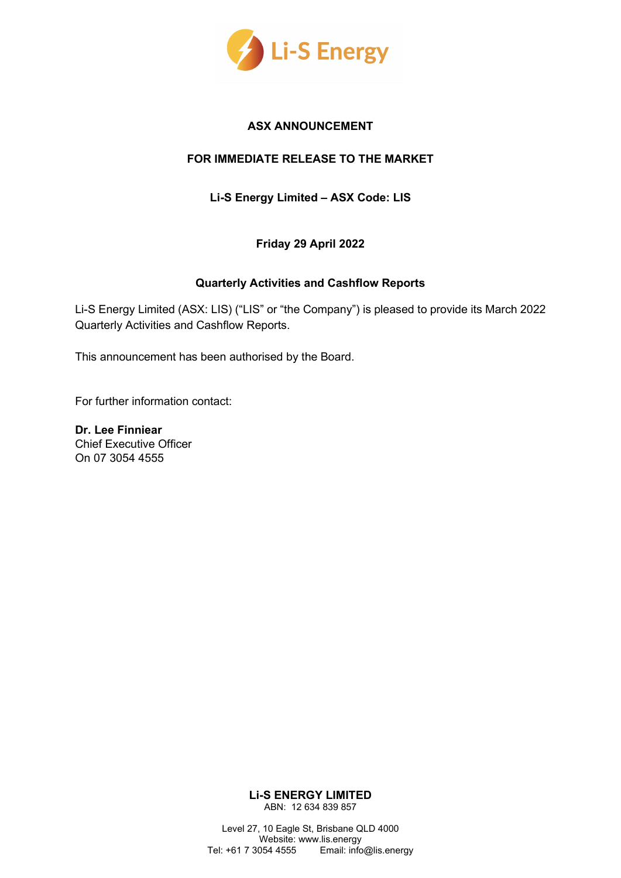

#### **ASX ANNOUNCEMENT**

### **FOR IMMEDIATE RELEASE TO THE MARKET**

**Li-S Energy Limited – ASX Code: LIS**

**Friday 29 April 2022**

#### **Quarterly Activities and Cashflow Reports**

Li-S Energy Limited (ASX: LIS) ("LIS" or "the Company") is pleased to provide its March 2022 Quarterly Activities and Cashflow Reports.

This announcement has been authorised by the Board.

For further information contact:

**Dr. Lee Finniear**  Chief Executive Officer On 07 3054 4555

> **Li-S ENERGY LIMITED** ABN: 12 634 839 857

Level 27, 10 Eagle St, Brisbane QLD 4000 Website: www.lis.energy Tel: +61 7 3054 4555 Email: info@lis.energy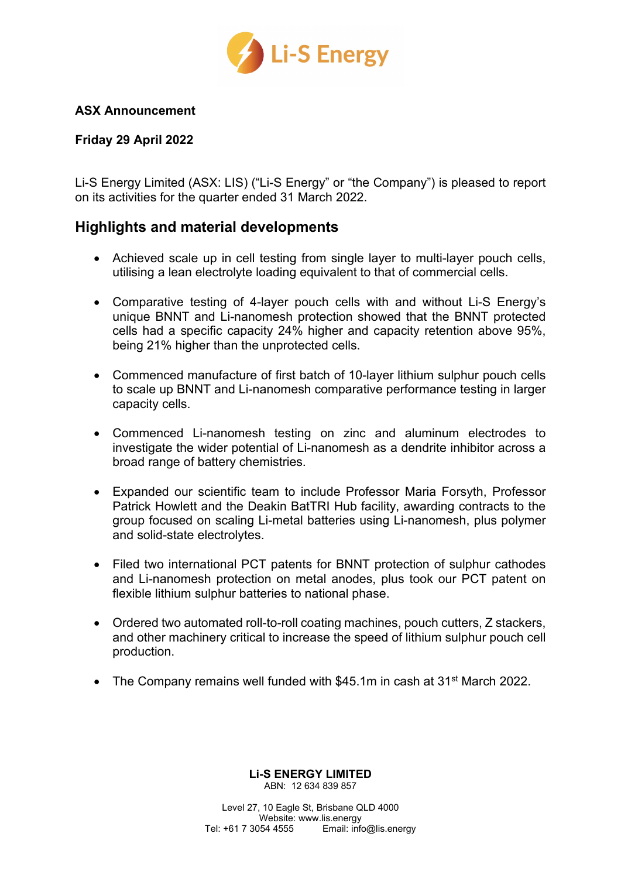

## **ASX Announcement**

## **Friday 29 April 2022**

Li-S Energy Limited (ASX: LIS) ("Li-S Energy" or "the Company") is pleased to report on its activities for the quarter ended 31 March 2022.

# **Highlights and material developments**

- Achieved scale up in cell testing from single layer to multi-layer pouch cells, utilising a lean electrolyte loading equivalent to that of commercial cells.
- Comparative testing of 4-layer pouch cells with and without Li-S Energy's unique BNNT and Li-nanomesh protection showed that the BNNT protected cells had a specific capacity 24% higher and capacity retention above 95%, being 21% higher than the unprotected cells.
- Commenced manufacture of first batch of 10-layer lithium sulphur pouch cells to scale up BNNT and Li-nanomesh comparative performance testing in larger capacity cells.
- Commenced Li-nanomesh testing on zinc and aluminum electrodes to investigate the wider potential of Li-nanomesh as a dendrite inhibitor across a broad range of battery chemistries.
- Expanded our scientific team to include Professor Maria Forsyth, Professor Patrick Howlett and the Deakin BatTRI Hub facility, awarding contracts to the group focused on scaling Li-metal batteries using Li-nanomesh, plus polymer and solid-state electrolytes.
- Filed two international PCT patents for BNNT protection of sulphur cathodes and Li-nanomesh protection on metal anodes, plus took our PCT patent on flexible lithium sulphur batteries to national phase.
- Ordered two automated roll-to-roll coating machines, pouch cutters, Z stackers, and other machinery critical to increase the speed of lithium sulphur pouch cell production.
- The Company remains well funded with \$45.1m in cash at 31<sup>st</sup> March 2022.

# **Li-S ENERGY LIMITED**

ABN: 12 634 839 857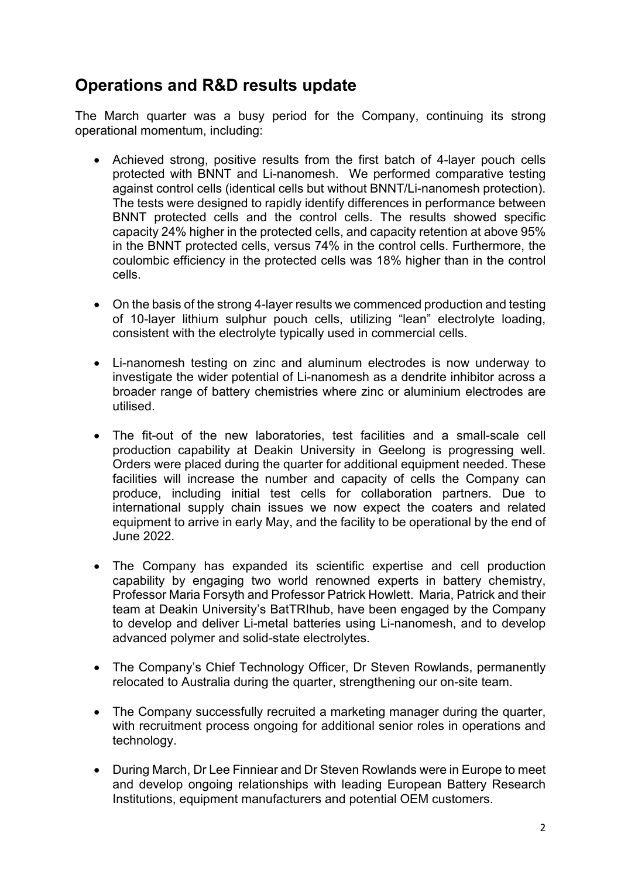# **Operations and R&D results update**

The March quarter was a busy period for the Company, continuing its strong operational momentum, including:

- Achieved strong, positive results from the first batch of 4-layer pouch cells protected with BNNT and Li-nanomesh. We performed comparative testing against control cells (identical cells but without BNNT/Li-nanomesh protection). The tests were designed to rapidly identify differences in performance between BNNT protected cells and the control cells. The results showed specific capacity 24% higher in the protected cells, and capacity retention at above 95% in the BNNT protected cells, versus 74% in the control cells. Furthermore, the coulombic efficiency in the protected cells was 18% higher than in the control cells.
- On the basis of the strong 4-layer results we commenced production and testing of 10-layer lithium sulphur pouch cells, utilizing "lean" electrolyte loading, consistent with the electrolyte typically used in commercial cells.
- Li-nanomesh testing on zinc and aluminum electrodes is now underway to investigate the wider potential of Li-nanomesh as a dendrite inhibitor across a broader range of battery chemistries where zinc or aluminium electrodes are utilised.
- The fit-out of the new laboratories, test facilities and a small-scale cell production capability at Deakin University in Geelong is progressing well. Orders were placed during the quarter for additional equipment needed. These facilities will increase the number and capacity of cells the Company can produce, including initial test cells for collaboration partners. Due to international supply chain issues we now expect the coaters and related equipment to arrive in early May, and the facility to be operational by the end of June 2022.
- The Company has expanded its scientific expertise and cell production capability by engaging two world renowned experts in battery chemistry, Professor Maria Forsyth and Professor Patrick Howlett. Maria, Patrick and their team at Deakin University's BatTRIhub, have been engaged by the Company to develop and deliver Li-metal batteries using Li-nanomesh, and to develop advanced polymer and solid-state electrolytes.
- The Company's Chief Technology Officer, Dr Steven Rowlands, permanently relocated to Australia during the quarter, strengthening our on-site team.
- The Company successfully recruited a marketing manager during the quarter, with recruitment process ongoing for additional senior roles in operations and technology.
- During March, Dr Lee Finniear and Dr Steven Rowlands were in Europe to meet and develop ongoing relationships with leading European Battery Research Institutions, equipment manufacturers and potential OEM customers.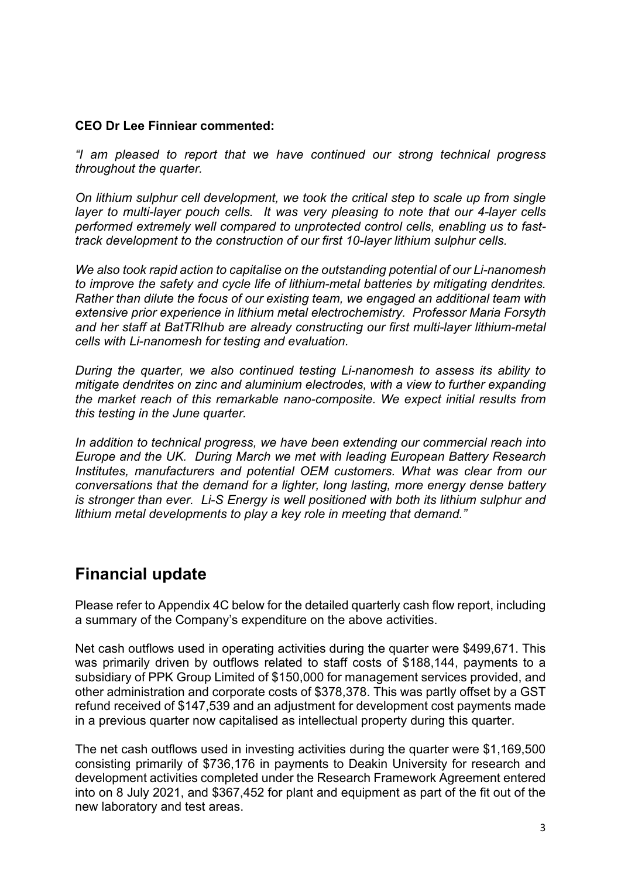# **CEO Dr Lee Finniear commented:**

*"I am pleased to report that we have continued our strong technical progress throughout the quarter.* 

*On lithium sulphur cell development, we took the critical step to scale up from single layer to multi-layer pouch cells. It was very pleasing to note that our 4-layer cells performed extremely well compared to unprotected control cells, enabling us to fasttrack development to the construction of our first 10-layer lithium sulphur cells.* 

*We also took rapid action to capitalise on the outstanding potential of our Li-nanomesh to improve the safety and cycle life of lithium-metal batteries by mitigating dendrites. Rather than dilute the focus of our existing team, we engaged an additional team with extensive prior experience in lithium metal electrochemistry. Professor Maria Forsyth and her staff at BatTRIhub are already constructing our first multi-layer lithium-metal cells with Li-nanomesh for testing and evaluation.* 

*During the quarter, we also continued testing Li-nanomesh to assess its ability to mitigate dendrites on zinc and aluminium electrodes, with a view to further expanding the market reach of this remarkable nano-composite. We expect initial results from this testing in the June quarter.* 

*In addition to technical progress, we have been extending our commercial reach into Europe and the UK. During March we met with leading European Battery Research Institutes, manufacturers and potential OEM customers. What was clear from our conversations that the demand for a lighter, long lasting, more energy dense battery is stronger than ever. Li-S Energy is well positioned with both its lithium sulphur and lithium metal developments to play a key role in meeting that demand."* 

# **Financial update**

Please refer to Appendix 4C below for the detailed quarterly cash flow report, including a summary of the Company's expenditure on the above activities.

Net cash outflows used in operating activities during the quarter were \$499,671. This was primarily driven by outflows related to staff costs of \$188,144, payments to a subsidiary of PPK Group Limited of \$150,000 for management services provided, and other administration and corporate costs of \$378,378. This was partly offset by a GST refund received of \$147,539 and an adjustment for development cost payments made in a previous quarter now capitalised as intellectual property during this quarter.

The net cash outflows used in investing activities during the quarter were \$1,169,500 consisting primarily of \$736,176 in payments to Deakin University for research and development activities completed under the Research Framework Agreement entered into on 8 July 2021, and \$367,452 for plant and equipment as part of the fit out of the new laboratory and test areas.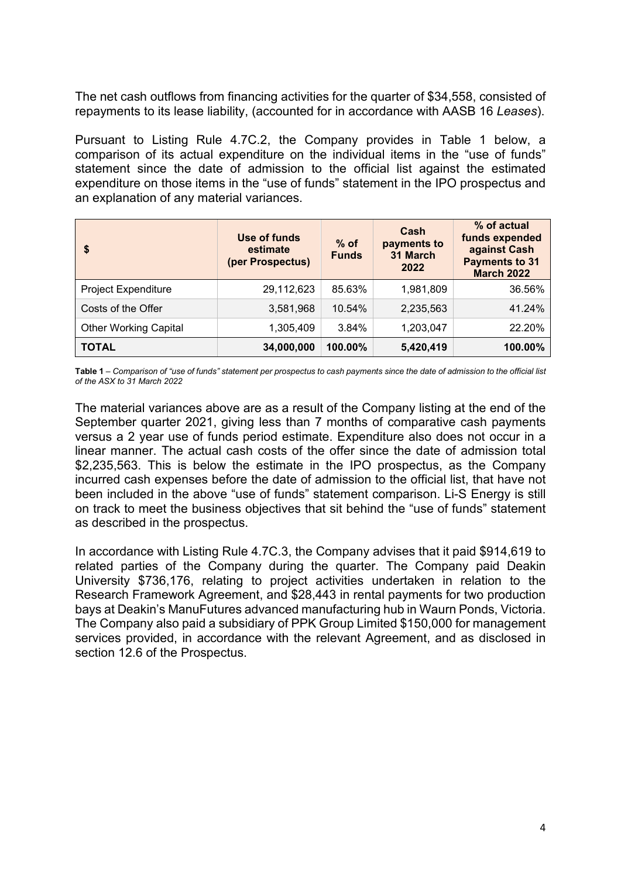The net cash outflows from financing activities for the quarter of \$34,558, consisted of repayments to its lease liability, (accounted for in accordance with AASB 16 *Leases*).

Pursuant to Listing Rule 4.7C.2, the Company provides in Table 1 below, a comparison of its actual expenditure on the individual items in the "use of funds" statement since the date of admission to the official list against the estimated expenditure on those items in the "use of funds" statement in the IPO prospectus and an explanation of any material variances.

| \$                           | Use of funds<br>estimate<br>(per Prospectus) | $%$ of<br><b>Funds</b> | Cash<br>payments to<br>31 March<br>2022 | % of actual<br>funds expended<br>against Cash<br><b>Payments to 31</b><br><b>March 2022</b> |
|------------------------------|----------------------------------------------|------------------------|-----------------------------------------|---------------------------------------------------------------------------------------------|
| <b>Project Expenditure</b>   | 29,112,623                                   | 85.63%                 | 1,981,809                               | 36.56%                                                                                      |
| Costs of the Offer           | 3,581,968                                    | 10.54%                 | 2,235,563                               | 41.24%                                                                                      |
| <b>Other Working Capital</b> | 1,305,409                                    | 3.84%                  | 1,203,047                               | 22.20%                                                                                      |
| <b>TOTAL</b>                 | 34,000,000                                   | 100.00%                | 5,420,419                               | 100.00%                                                                                     |

**Table 1** *– Comparison of "use of funds" statement per prospectus to cash payments since the date of admission to the official list of the ASX to 31 March 2022*

The material variances above are as a result of the Company listing at the end of the September quarter 2021, giving less than 7 months of comparative cash payments versus a 2 year use of funds period estimate. Expenditure also does not occur in a linear manner. The actual cash costs of the offer since the date of admission total \$2,235,563. This is below the estimate in the IPO prospectus, as the Company incurred cash expenses before the date of admission to the official list, that have not been included in the above "use of funds" statement comparison. Li-S Energy is still on track to meet the business objectives that sit behind the "use of funds" statement as described in the prospectus.

In accordance with Listing Rule 4.7C.3, the Company advises that it paid \$914,619 to related parties of the Company during the quarter. The Company paid Deakin University \$736,176, relating to project activities undertaken in relation to the Research Framework Agreement, and \$28,443 in rental payments for two production bays at Deakin's ManuFutures advanced manufacturing hub in Waurn Ponds, Victoria. The Company also paid a subsidiary of PPK Group Limited \$150,000 for management services provided, in accordance with the relevant Agreement, and as disclosed in section 12.6 of the Prospectus.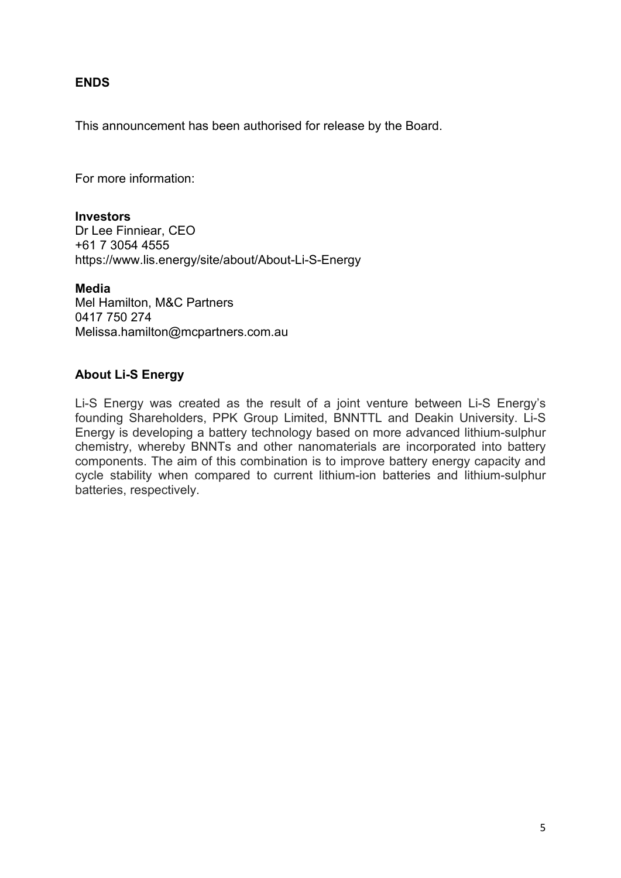## **ENDS**

This announcement has been authorised for release by the Board.

For more information:

#### **Investors**

Dr Lee Finniear, CEO +61 7 3054 4555 https://www.lis.energy/site/about/About-Li-S-Energy

#### **Media**

Mel Hamilton, M&C Partners 0417 750 274 [Melissa.hamilton@mcpartners.com.au](mailto:Melissa.hamilton@mcpartners.com.au)

## **About Li-S Energy**

Li-S Energy was created as the result of a joint venture between Li-S Energy's founding Shareholders, PPK Group Limited, BNNTTL and Deakin University. Li-S Energy is developing a battery technology based on more advanced lithium-sulphur chemistry, whereby BNNTs and other nanomaterials are incorporated into battery components. The aim of this combination is to improve battery energy capacity and cycle stability when compared to current lithium-ion batteries and lithium-sulphur batteries, respectively.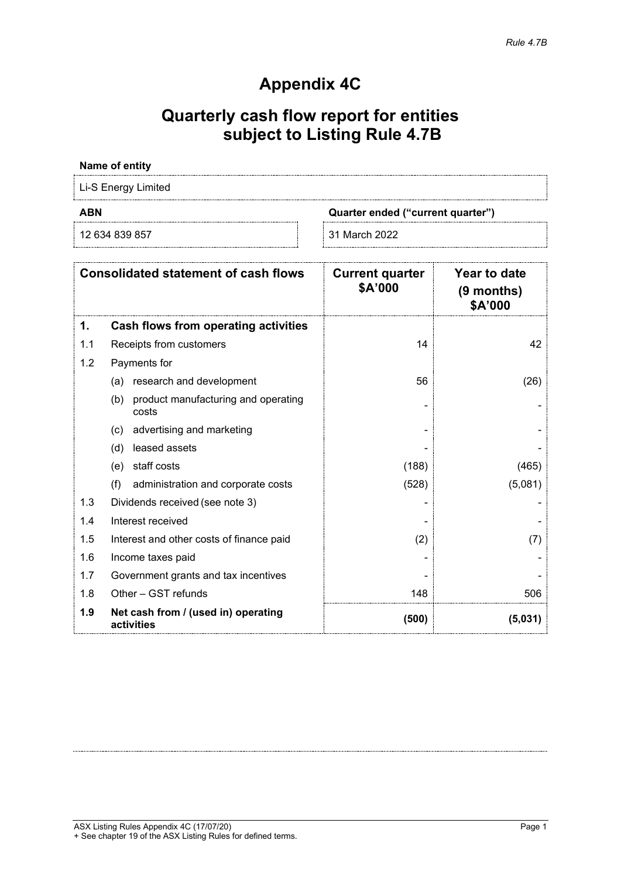# **Appendix 4C**

# **Quarterly cash flow report for entities subject to Listing Rule 4.7B**

#### **Name of entity**

Li-S Energy Limited

12 634 839 857 31 March 2022

**ABN Quarter ended ("current quarter")**

| <b>Consolidated statement of cash flows</b> |                                                     | <b>Current quarter</b><br>\$A'000 | Year to date<br>(9 months)<br>\$A'000 |
|---------------------------------------------|-----------------------------------------------------|-----------------------------------|---------------------------------------|
| 1.                                          | Cash flows from operating activities                |                                   |                                       |
| 1.1                                         | Receipts from customers                             | 14                                | 42                                    |
| 1.2                                         | Payments for                                        |                                   |                                       |
|                                             | research and development<br>(a)                     | 56                                | (26)                                  |
|                                             | product manufacturing and operating<br>(b)<br>costs |                                   |                                       |
|                                             | advertising and marketing<br>(c)                    |                                   |                                       |
|                                             | leased assets<br>(d)                                |                                   |                                       |
|                                             | staff costs<br>(e)                                  | (188)                             | (465)                                 |
|                                             | (f)<br>administration and corporate costs           | (528)                             | (5,081)                               |
| 1.3                                         | Dividends received (see note 3)                     |                                   |                                       |
| 1.4                                         | Interest received                                   |                                   |                                       |
| 1.5                                         | Interest and other costs of finance paid            | (2)                               | (7)                                   |
| 1.6                                         | Income taxes paid                                   |                                   |                                       |
| 1.7                                         | Government grants and tax incentives                |                                   |                                       |
| 1.8                                         | Other - GST refunds                                 | 148                               | 506                                   |
| 1.9                                         | Net cash from / (used in) operating<br>activities   | (500)                             | (5,031)                               |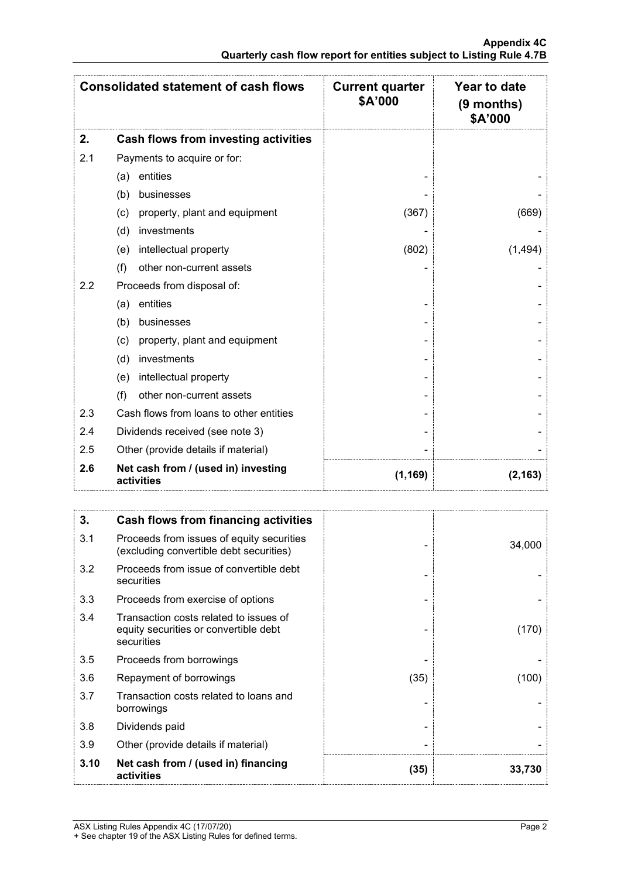|     | <b>Consolidated statement of cash flows</b>       | <b>Current quarter</b><br>\$A'000 | Year to date<br>$(9$ months)<br>\$A'000 |
|-----|---------------------------------------------------|-----------------------------------|-----------------------------------------|
| 2.  | Cash flows from investing activities              |                                   |                                         |
| 2.1 | Payments to acquire or for:                       |                                   |                                         |
|     | entities<br>(a)                                   |                                   |                                         |
|     | businesses<br>(b)                                 |                                   |                                         |
|     | property, plant and equipment<br>(c)              | (367)                             | (669)                                   |
|     | (d)<br>investments                                |                                   |                                         |
|     | intellectual property<br>(e)                      | (802)                             | (1, 494)                                |
|     | (f)<br>other non-current assets                   |                                   |                                         |
| 2.2 | Proceeds from disposal of:                        |                                   |                                         |
|     | entities<br>(a)                                   |                                   |                                         |
|     | businesses<br>(b)                                 |                                   |                                         |
|     | property, plant and equipment<br>(c)              |                                   |                                         |
|     | investments<br>(d)                                |                                   |                                         |
|     | intellectual property<br>(e)                      |                                   |                                         |
|     | other non-current assets<br>(f)                   |                                   |                                         |
| 2.3 | Cash flows from loans to other entities           |                                   |                                         |
| 2.4 | Dividends received (see note 3)                   |                                   |                                         |
| 2.5 | Other (provide details if material)               |                                   |                                         |
| 2.6 | Net cash from / (used in) investing<br>activities | (1, 169)                          | (2, 163)                                |

| 3.   | <b>Cash flows from financing activities</b>                                                   |      |        |
|------|-----------------------------------------------------------------------------------------------|------|--------|
| 3.1  | Proceeds from issues of equity securities<br>(excluding convertible debt securities)          |      | 34,000 |
| 3.2  | Proceeds from issue of convertible debt<br>securities                                         |      |        |
| 3.3  | Proceeds from exercise of options                                                             |      |        |
| 3.4  | Transaction costs related to issues of<br>equity securities or convertible debt<br>securities |      | (170)  |
| 3.5  | Proceeds from borrowings                                                                      |      |        |
| 3.6  | Repayment of borrowings                                                                       | (35) | (100)  |
| 3.7  | Transaction costs related to loans and<br>borrowings                                          |      |        |
| 3.8  | Dividends paid                                                                                |      |        |
| 3.9  | Other (provide details if material)                                                           |      |        |
| 3.10 | Net cash from / (used in) financing<br>activities                                             | (35) | 33.730 |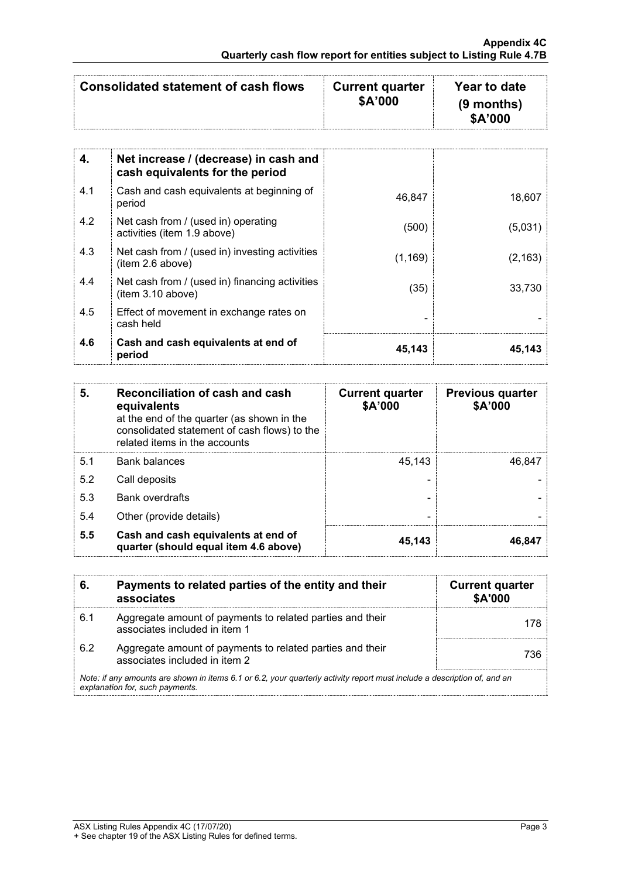| \$A'000 | Consolidated statement of cash flows | <b>Current quarter</b><br>\$A'000 | Year to date<br>$(9$ months) |
|---------|--------------------------------------|-----------------------------------|------------------------------|
|---------|--------------------------------------|-----------------------------------|------------------------------|

| 4.  | Net increase / (decrease) in cash and<br>cash equivalents for the period |          |          |
|-----|--------------------------------------------------------------------------|----------|----------|
| 4.1 | Cash and cash equivalents at beginning of<br>period                      | 46,847   | 18,607   |
| 4.2 | Net cash from / (used in) operating<br>activities (item 1.9 above)       | (500)    | (5,031)  |
| 4.3 | Net cash from / (used in) investing activities<br>(item 2.6 above)       | (1, 169) | (2, 163) |
| 4.4 | Net cash from / (used in) financing activities<br>(item 3.10 above)      | (35)     | 33.730   |
| 4.5 | Effect of movement in exchange rates on<br>cash held                     |          |          |
| 4.6 | Cash and cash equivalents at end of<br>period                            | 45,143   | 45,143   |

| 5.  | Reconciliation of cash and cash<br>equivalents<br>at the end of the quarter (as shown in the<br>consolidated statement of cash flows) to the<br>related items in the accounts | <b>Current quarter</b><br>\$A'000 | <b>Previous quarter</b><br>\$A'000 |
|-----|-------------------------------------------------------------------------------------------------------------------------------------------------------------------------------|-----------------------------------|------------------------------------|
| 5.1 | <b>Bank balances</b>                                                                                                                                                          | 45.143                            | 46.847                             |
| 5.2 | Call deposits                                                                                                                                                                 |                                   |                                    |
| 5.3 | <b>Bank overdrafts</b>                                                                                                                                                        |                                   |                                    |
| 5.4 | Other (provide details)                                                                                                                                                       |                                   |                                    |
| 5.5 | Cash and cash equivalents at end of<br>quarter (should equal item 4.6 above)                                                                                                  | 45,143                            | 46.847                             |

| 6.                                                                                                                                                          | Payments to related parties of the entity and their<br>associates                          | <b>Current quarter</b><br><b>\$A'000</b> |
|-------------------------------------------------------------------------------------------------------------------------------------------------------------|--------------------------------------------------------------------------------------------|------------------------------------------|
| 6.1                                                                                                                                                         | Aggregate amount of payments to related parties and their<br>associates included in item 1 |                                          |
| 6.2                                                                                                                                                         | Aggregate amount of payments to related parties and their<br>associates included in item 2 | 736                                      |
| Note: if any amounts are shown in items 6.1 or 6.2, your quarterly activity report must include a description of, and an<br>explanation for, such payments. |                                                                                            |                                          |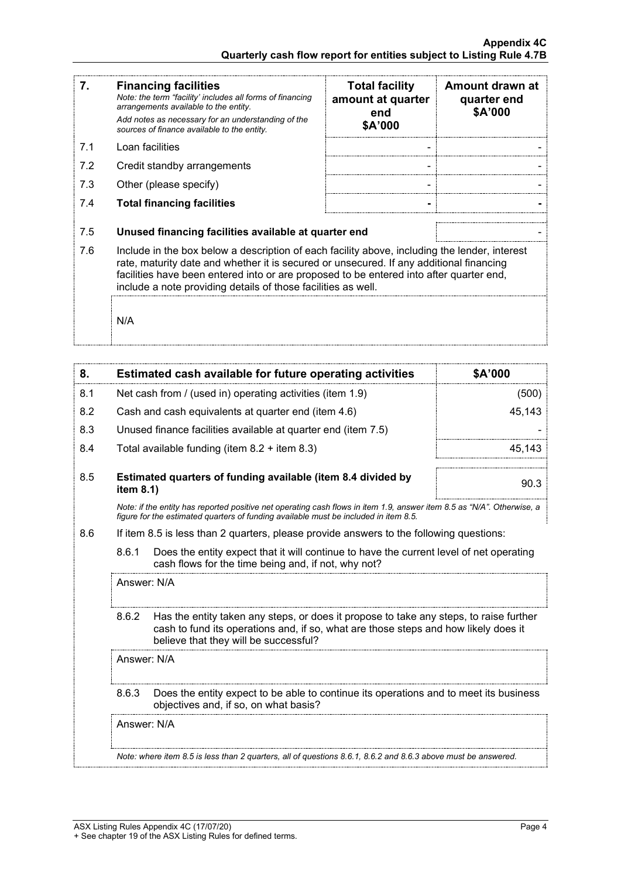| 7.  | <b>Financing facilities</b><br>Note: the term "facility' includes all forms of financing<br>arrangements available to the entity.<br>Add notes as necessary for an understanding of the<br>sources of finance available to the entity.                                                                                                               | <b>Total facility</b><br>amount at quarter<br>end<br>\$A'000 | Amount drawn at<br>quarter end<br>\$A'000 |
|-----|------------------------------------------------------------------------------------------------------------------------------------------------------------------------------------------------------------------------------------------------------------------------------------------------------------------------------------------------------|--------------------------------------------------------------|-------------------------------------------|
| 7.1 | Loan facilities                                                                                                                                                                                                                                                                                                                                      |                                                              |                                           |
| 7.2 | Credit standby arrangements                                                                                                                                                                                                                                                                                                                          |                                                              |                                           |
| 7.3 | Other (please specify)                                                                                                                                                                                                                                                                                                                               |                                                              |                                           |
| 7.4 | <b>Total financing facilities</b>                                                                                                                                                                                                                                                                                                                    |                                                              |                                           |
| 7.5 | Unused financing facilities available at quarter end                                                                                                                                                                                                                                                                                                 |                                                              |                                           |
| 7.6 | Include in the box below a description of each facility above, including the lender, interest<br>rate, maturity date and whether it is secured or unsecured. If any additional financing<br>facilities have been entered into or are proposed to be entered into after quarter end,<br>include a note providing details of those facilities as well. |                                                              |                                           |
|     | N/A                                                                                                                                                                                                                                                                                                                                                  |                                                              |                                           |

| 8.  |                                                                                         | Estimated cash available for future operating activities                                                                                                                                                               | \$A'000 |
|-----|-----------------------------------------------------------------------------------------|------------------------------------------------------------------------------------------------------------------------------------------------------------------------------------------------------------------------|---------|
| 8.1 |                                                                                         | Net cash from / (used in) operating activities (item 1.9)                                                                                                                                                              | (500)   |
| 8.2 |                                                                                         | Cash and cash equivalents at quarter end (item 4.6)                                                                                                                                                                    | 45,143  |
| 8.3 |                                                                                         | Unused finance facilities available at quarter end (item 7.5)                                                                                                                                                          |         |
| 8.4 |                                                                                         | Total available funding (item $8.2 +$ item $8.3$ )                                                                                                                                                                     | 45,143  |
| 8.5 | item 8.1)                                                                               | Estimated quarters of funding available (item 8.4 divided by                                                                                                                                                           | 90.3    |
|     |                                                                                         | Note: if the entity has reported positive net operating cash flows in item 1.9, answer item 8.5 as "N/A". Otherwise, a<br>figure for the estimated quarters of funding available must be included in item 8.5.         |         |
| 8.6 | If item 8.5 is less than 2 quarters, please provide answers to the following questions: |                                                                                                                                                                                                                        |         |
|     | 8.6.1                                                                                   | Does the entity expect that it will continue to have the current level of net operating<br>cash flows for the time being and, if not, why not?                                                                         |         |
|     | Answer: N/A                                                                             |                                                                                                                                                                                                                        |         |
|     | 8.6.2                                                                                   | Has the entity taken any steps, or does it propose to take any steps, to raise further<br>cash to fund its operations and, if so, what are those steps and how likely does it<br>believe that they will be successful? |         |
|     | Answer: N/A                                                                             |                                                                                                                                                                                                                        |         |
|     | 8.6.3                                                                                   | Does the entity expect to be able to continue its operations and to meet its business<br>objectives and, if so, on what basis?                                                                                         |         |
|     | Answer: N/A                                                                             |                                                                                                                                                                                                                        |         |
|     |                                                                                         | Note: where item 8.5 is less than 2 quarters, all of questions 8.6.1, 8.6.2 and 8.6.3 above must be answered.                                                                                                          |         |
|     |                                                                                         |                                                                                                                                                                                                                        |         |